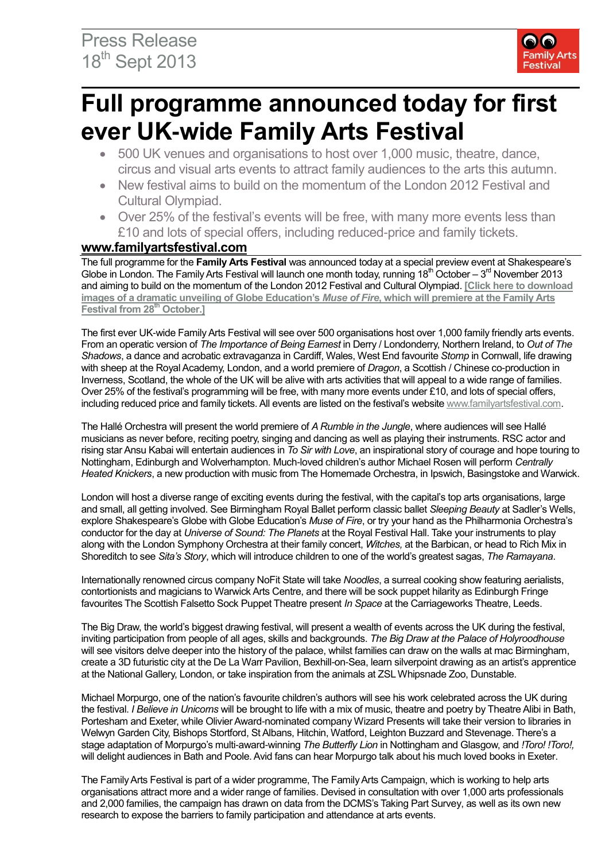

# **Full programme announced today for first ever UK-wide Family Arts Festival**

- 500 UK venues and organisations to host over 1,000 music, theatre, dance, circus and visual arts events to attract family audiences to the arts this autumn.
- New festival aims to build on the momentum of the London 2012 Festival and Cultural Olympiad.
- Over 25% of the festival's events will be free, with many more events less than £10 and lots of special offers, including reduced-price and family tickets.

#### **[www.familyartsfestival.com](http://www.familyartsfestival.com/)**

The full programme for the **Family Arts Festival** was announced today at a special preview event at Shakespeare's Globe in London. The Family Arts Festival will launch one month today, running  $18<sup>th</sup> October - 3<sup>rd</sup> November 2013$ and aiming to build on the momentum of the London 2012 Festival and Cultural Olympiad. **[\[Click here to download](https://www.dropbox.com/sh/43lgco10nhdbnzy/isAEtW2jAe)  images of a dramatic unveiling of Globe Education's** *Muse of Fire***, which [will premiere at the Family Arts](https://www.dropbox.com/sh/43lgco10nhdbnzy/isAEtW2jAe)  Festival from 28th [October.\]](https://www.dropbox.com/sh/43lgco10nhdbnzy/isAEtW2jAe)**

The first ever UK-wide Family Arts Festival will see over 500 organisations host over 1,000 family friendly arts events. From an operatic version of *The Importance of Being Earnest* in Derry / Londonderry, Northern Ireland, to *Out of The Shadows*, a dance and acrobatic extravaganza in Cardiff, Wales, West End favourite *Stomp* in Cornwall, life drawing with sheep at the Royal Academy, London, and a world premiere of *Dragon*, a Scottish / Chinese co-production in Inverness, Scotland, the whole of the UK will be alive with arts activities that will appeal to a wide range of families. Over 25% of the festival's programming will be free, with many more events under £10, and lots of special offers, including reduced price and family tickets. All events are listed on the festival's website [www.familyartsfestival.com.](http://www.familyartsfestival.com/)

The Hallé Orchestra will present the world premiere of *A Rumble in the Jungle*, where audiences will see Hallé musicians as never before, reciting poetry, singing and dancing as well as playing their instruments. RSC actor and rising star Ansu Kabai will entertain audiences in *To Sir with Love*, an inspirational story of courage and hope touring to Nottingham, Edinburgh and Wolverhampton. Much-loved children's author Michael Rosen will perform *Centrally Heated Knickers*, a new production with music from The Homemade Orchestra, in Ipswich, Basingstoke and Warwick.

London will host a diverse range of exciting events during the festival, with the capital's top arts organisations, large and small, all getting involved. See Birmingham Royal Ballet perform classic ballet *Sleeping Beauty* at Sadler's Wells, explore Shakespeare's Globe with Globe Education's *Muse of Fire*, or try your hand as the Philharmonia Orchestra's conductor for the day at *Universe of Sound: The Planets* at the Royal Festival Hall. Take your instruments to play along with the London Symphony Orchestra at their family concert, *Witches,* at the Barbican, or head to Rich Mix in Shoreditch to see *Sita's Story*, which will introduce children to one of the world's greatest sagas, *The Ramayana*.

Internationally renowned circus company NoFit State will take *Noodles*, a surreal cooking show featuring aerialists, contortionists and magicians to Warwick Arts Centre, and there will be sock puppet hilarity as Edinburgh Fringe favourites The Scottish Falsetto Sock Puppet Theatre present *In Space* at the Carriageworks Theatre, Leeds.

The Big Draw, the world's biggest drawing festival, will present a wealth of events across the UK during the festival, inviting participation from people of all ages, skills and backgrounds. *The Big Draw at the Palace of Holyroodhouse* will see visitors delve deeper into the history of the palace, whilst families can draw on the walls at mac Birmingham, create a 3D futuristic city at the De La Warr Pavilion, Bexhill-on-Sea, learn silverpoint drawing as an artist's apprentice at the National Gallery, London, or take inspiration from the animals at ZSL Whipsnade Zoo, Dunstable.

Michael Morpurgo, one of the nation's favourite children's authors will see his work celebrated across the UK during the festival. *I Believe in Unicorns* will be brought to life with a mix of music, theatre and poetry by Theatre Alibi in Bath, Portesham and Exeter, while Olivier Award-nominated company Wizard Presents will take their version to libraries in Welwyn Garden City, Bishops Stortford, St Albans, Hitchin, Watford, Leighton Buzzard and Stevenage. There's a stage adaptation of Morpurgo's multi-award-winning *The Butterfly Lion* in Nottingham and Glasgow, and *!Toro! !Toro!,*  will delight audiences in Bath and Poole. Avid fans can hear Morpurgo talk about his much loved books in Exeter.

The Family Arts Festival is part of a wider programme, The Family Arts Campaign, which is working to help arts organisations attract more and a wider range of families. Devised in consultation with over 1,000 arts professionals and 2,000 families, the campaign has drawn on data from the DCMS's Taking Part Survey, as well as its own new research to expose the barriers to family participation and attendance at arts events.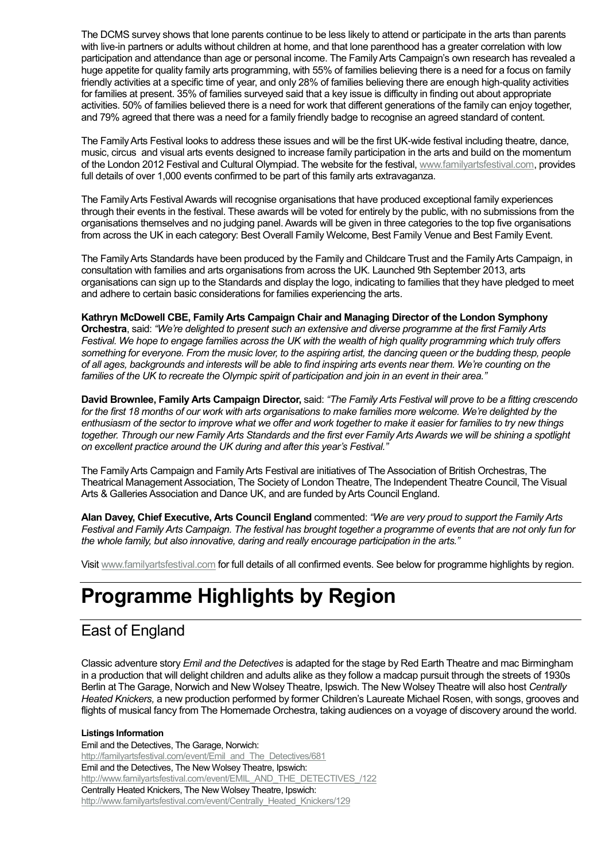The DCMS survey shows that lone parents continue to be less likely to attend or participate in the arts than parents with live-in partners or adults without children at home, and that lone parenthood has a greater correlation with low participation and attendance than age or personal income. The Family Arts Campaign's own research has revealed a huge appetite for quality family arts programming, with 55% of families believing there is a need for a focus on family friendly activities at a specific time of year, and only 28% of families believing there are enough high-quality activities for families at present. 35% of families surveyed said that a key issue is difficulty in finding out about appropriate activities. 50% of families believed there is a need for work that different generations of the family can enjoy together, and 79% agreed that there was a need for a family friendly badge to recognise an agreed standard of content.

The Family Arts Festival looks to address these issues and will be the first UK-wide festival including theatre, dance, music, circus and visual arts events designed to increase family participation in the arts and build on the momentum of the London 2012 Festival and Cultural Olympiad. The website for the festival, [www.familyartsfestival.com,](http://www.familyartsfestival.com/) provides full details of over 1,000 events confirmed to be part of this family arts extravaganza.

The Family Arts Festival Awards will recognise organisations that have produced exceptional family experiences through their events in the festival. These awards will be voted for entirely by the public, with no submissions from the organisations themselves and no judging panel. Awards will be given in three categories to the top five organisations from across the UK in each category: Best Overall Family Welcome, Best Family Venue and Best Family Event.

The Family Arts Standards have been produced by the Family and Childcare Trust and the Family Arts Campaign, in consultation with families and arts organisations from across the UK. Launched 9th September 2013, arts organisations can sign up to the Standards and display the logo, indicating to families that they have pledged to meet and adhere to certain basic considerations for families experiencing the arts.

**Kathryn McDowell CBE, Family Arts Campaign Chair and Managing Director of the London Symphony Orchestra**, said: *"We're delighted to present such an extensive and diverse programme at the first Family Arts Festival. We hope to engage families across the UK with the wealth of high quality programming which truly offers something for everyone. From the music lover, to the aspiring artist, the dancing queen or the budding thesp, people of all ages, backgrounds and interests will be able to find inspiring arts events near them. We're counting on the families of the UK to recreate the Olympic spirit of participation and join in an event in their area."*

**David Brownlee, Family Arts Campaign Director,** said: *"The Family Arts Festival will prove to be a fitting crescendo*  for the first 18 months of our work with arts organisations to make families more welcome. We're delighted by the *enthusiasm of the sector to improve what we offer and work together to make it easier for families to try new things*  together. Through our new Family Arts Standards and the first ever Family Arts Awards we will be shining a spotlight *on excellent practice around the UK during and after this year's Festival."*

The Family Arts Campaign and Family Arts Festival are initiatives of The Association of British Orchestras, The Theatrical Management Association, The Society of London Theatre, The Independent Theatre Council, The Visual Arts & Galleries Association and Dance UK, and are funded by Arts Council England.

**Alan Davey, Chief Executive, Arts Council England** commented: *"We are very proud to support the Family Arts Festival and Family Arts Campaign. The festival has brought together a programme of events that are not only fun for the whole family, but also innovative, daring and really encourage participation in the arts."*

Visit [www.familyartsfestival.com](http://www.familyartsfestival.com/) for full details of all confirmed events. See below for programme highlights by region.

# **Programme Highlights by Region**

### East of England

Classic adventure story *Emil and the Detectives* is adapted for the stage by Red Earth Theatre and mac Birmingham in a production that will delight children and adults alike as they follow a madcap pursuit through the streets of 1930s Berlin at The Garage, Norwich and New Wolsey Theatre, Ipswich. The New Wolsey Theatre will also host *Centrally Heated Knickers,* a new production performed by former Children's Laureate Michael Rosen, with songs, grooves and flights of musical fancy from The Homemade Orchestra, taking audiences on a voyage of discovery around the world.

**Listings Information** Emil and the Detectives, The Garage, Norwich: [http://familyartsfestival.com/event/Emil\\_and\\_The\\_Detectives/681](http://familyartsfestival.com/event/Emil_and_The_Detectives/681) Emil and the Detectives, The New Wolsey Theatre, Ipswich: [http://www.familyartsfestival.com/event/EMIL\\_AND\\_THE\\_DETECTIVES\\_/122](http://www.familyartsfestival.com/event/EMIL_AND_THE_DETECTIVES_/122) Centrally Heated Knickers, The New Wolsey Theatre, Ipswich: [http://www.familyartsfestival.com/event/Centrally\\_Heated\\_Knickers/129](http://www.familyartsfestival.com/event/Centrally_Heated_Knickers/129)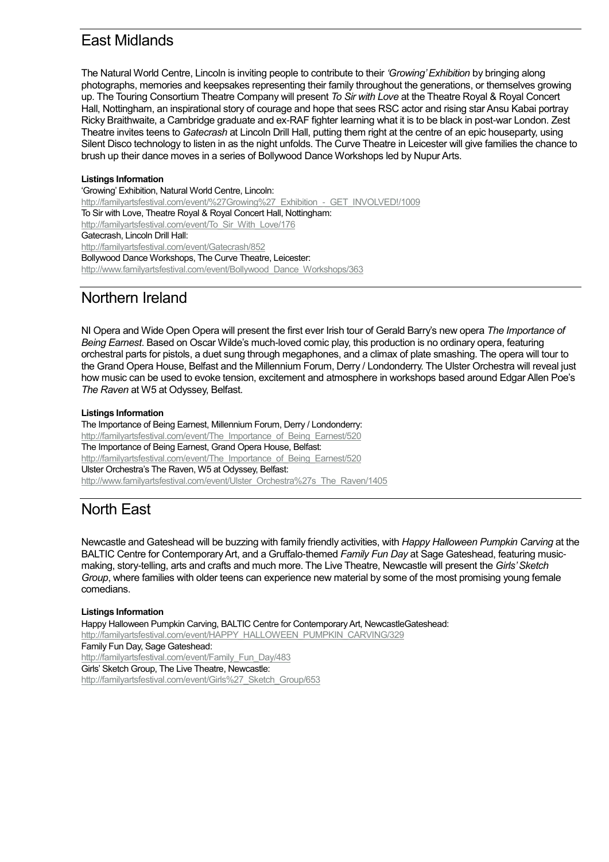### East Midlands

The Natural World Centre, Lincoln is inviting people to contribute to their *'Growing' Exhibition* by bringing along photographs, memories and keepsakes representing their family throughout the generations, or themselves growing up. The Touring Consortium Theatre Company will present *To Sir with Love* at the Theatre Royal & Royal Concert Hall, Nottingham, an inspirational story of courage and hope that sees RSC actor and rising star Ansu Kabai portray Ricky Braithwaite, a Cambridge graduate and ex-RAF fighter learning what it is to be black in post-war London. Zest Theatre invites teens to *Gatecrash* at Lincoln Drill Hall, putting them right at the centre of an epic houseparty, using Silent Disco technology to listen in as the night unfolds. The Curve Theatre in Leicester will give families the chance to brush up their dance moves in a series of Bollywood Dance Workshops led by Nupur Arts.

#### **Listings Information**

'Growing' Exhibition, Natural World Centre, Lincoln: [http://familyartsfestival.com/event/%27Growing%27\\_Exhibition\\_-\\_GET\\_INVOLVED!/1009](http://familyartsfestival.com/event/%27Growing%27_Exhibition_-_GET_INVOLVED!/1009) To Sir with Love, Theatre Royal & Royal Concert Hall, Nottingham: [http://familyartsfestival.com/event/To\\_Sir\\_With\\_Love/176](http://familyartsfestival.com/event/To_Sir_With_Love/176) Gatecrash, Lincoln Drill Hall: <http://familyartsfestival.com/event/Gatecrash/852> Bollywood Dance Workshops, The Curve Theatre, Leicester: [http://www.familyartsfestival.com/event/Bollywood\\_Dance\\_Workshops/363](http://www.familyartsfestival.com/event/Bollywood_Dance_Workshops/363)

### Northern Ireland

NI Opera and Wide Open Opera will present the first ever Irish tour of Gerald Barry's new opera *The Importance of Being Earnest*. Based on Oscar Wilde's much-loved comic play, this production is no ordinary opera, featuring orchestral parts for pistols, a duet sung through megaphones, and a climax of plate smashing. The opera will tour to the Grand Opera House, Belfast and the Millennium Forum, Derry / Londonderry. The Ulster Orchestra will reveal just how music can be used to evoke tension, excitement and atmosphere in workshops based around Edgar Allen Poe's *The Raven* at W5 at Odyssey, Belfast.

#### **Listings Information**

The Importance of Being Earnest, Millennium Forum, Derry / Londonderry: http://familyartsfestival.com/event/The Importance of Being Earnest/520 The Importance of Being Earnest, Grand Opera House, Belfast: [http://familyartsfestival.com/event/The\\_Importance\\_of\\_Being\\_Earnest/520](http://familyartsfestival.com/event/The_Importance_of_Being_Earnest/520) Ulster Orchestra's The Raven, W5 at Odyssey, Belfast: [http://www.familyartsfestival.com/event/Ulster\\_Orchestra%27s\\_The\\_Raven/1405](http://www.familyartsfestival.com/event/Ulster_Orchestra%27s_The_Raven/1405)

### North East

Newcastle and Gateshead will be buzzing with family friendly activities, with *Happy Halloween Pumpkin Carving* at the BALTIC Centre for Contemporary Art, and a Gruffalo-themed *Family Fun Day* at Sage Gateshead, featuring musicmaking, story-telling, arts and crafts and much more. The Live Theatre, Newcastle will present the *Girls' Sketch Group*, where families with older teens can experience new material by some of the most promising young female comedians.

#### **Listings Information**

Happy Halloween Pumpkin Carving, BALTIC Centre for Contemporary Art, NewcastleGateshead: [http://familyartsfestival.com/event/HAPPY\\_HALLOWEEN\\_PUMPKIN\\_CARVING/329](http://familyartsfestival.com/event/HAPPY_HALLOWEEN_PUMPKIN_CARVING/329) Family Fun Day, Sage Gateshead: [http://familyartsfestival.com/event/Family\\_Fun\\_Day/483](http://familyartsfestival.com/event/Family_Fun_Day/483) Girls' Sketch Group, The Live Theatre, Newcastle: [http://familyartsfestival.com/event/Girls%27\\_Sketch\\_Group/653](http://familyartsfestival.com/event/Girls%27_Sketch_Group/653)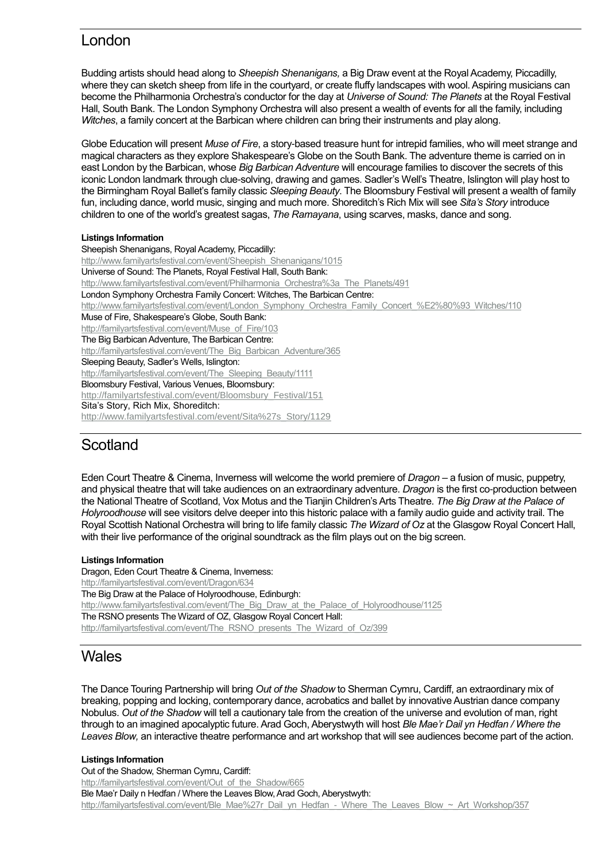### London

Budding artists should head along to *Sheepish Shenanigans,* a Big Draw event at the Royal Academy, Piccadilly, where they can sketch sheep from life in the courtyard, or create fluffy landscapes with wool. Aspiring musicians can become the Philharmonia Orchestra's conductor for the day at *Universe of Sound: The Planets* at the Royal Festival Hall, South Bank. The London Symphony Orchestra will also present a wealth of events for all the family, including *Witches*, a family concert at the Barbican where children can bring their instruments and play along.

Globe Education will present *Muse of Fire*, a story-based treasure hunt for intrepid families, who will meet strange and magical characters as they explore Shakespeare's Globe on the South Bank. The adventure theme is carried on in east London by the Barbican, whose *Big Barbican Adventure* will encourage families to discover the secrets of this iconic London landmark through clue-solving, drawing and games. Sadler's Well's Theatre, Islington will play host to the Birmingham Royal Ballet's family classic *Sleeping Beauty*. The Bloomsbury Festival will present a wealth of family fun, including dance, world music, singing and much more. Shoreditch's Rich Mix will see *Sita's Story* introduce children to one of the world's greatest sagas, *The Ramayana*, using scarves, masks, dance and song.

#### **Listings Information**

Sheepish Shenanigans, Royal Academy, Piccadilly: [http://www.familyartsfestival.com/event/Sheepish\\_Shenanigans/1015](http://www.familyartsfestival.com/event/Sheepish_Shenanigans/1015) Universe of Sound: The Planets, Royal Festival Hall, South Bank: [http://www.familyartsfestival.com/event/Philharmonia\\_Orchestra%3a\\_The\\_Planets/491](http://www.familyartsfestival.com/event/Philharmonia_Orchestra%3a_The_Planets/491) London Symphony Orchestra Family Concert: Witches, The Barbican Centre: [http://www.familyartsfestival.com/event/London\\_Symphony\\_Orchestra\\_Family\\_Concert\\_%E2%80%93\\_Witches/110](http://www.familyartsfestival.com/event/London_Symphony_Orchestra_Family_Concert_%E2%80%93_Witches/110) Muse of Fire, Shakespeare's Globe, South Bank: [http://familyartsfestival.com/event/Muse\\_of\\_Fire/103](http://familyartsfestival.com/event/Muse_of_Fire/103) The Big Barbican Adventure, The Barbican Centre: [http://familyartsfestival.com/event/The\\_Big\\_Barbican\\_Adventure/365](http://familyartsfestival.com/event/The_Big_Barbican_Adventure/365) Sleeping Beauty, Sadler's Wells, Islington: http://familyartsfestival.com/event/The Sleeping Beauty/1111 Bloomsbury Festival, Various Venues, Bloomsbury: [http://familyartsfestival.com/event/Bloomsbury\\_Festival/151](http://familyartsfestival.com/event/Bloomsbury_Festival/151) Sita's Story, Rich Mix, Shoreditch: [http://www.familyartsfestival.com/event/Sita%27s\\_Story/1129](http://www.familyartsfestival.com/event/Sita%27s_Story/1129)

#### **Scotland**

Eden Court Theatre & Cinema, Inverness will welcome the world premiere of *Dragon* – a fusion of music, puppetry, and physical theatre that will take audiences on an extraordinary adventure. *Dragon* is the first co-production between the National Theatre of Scotland, Vox Motus and the Tianjin Children's Arts Theatre. *The Big Draw at the Palace of Holyroodhouse* will see visitors delve deeper into this historic palace with a family audio guide and activity trail. The Royal Scottish National Orchestra will bring to life family classic *The Wizard of Oz* at the Glasgow Royal Concert Hall, with their live performance of the original soundtrack as the film plays out on the big screen.

#### **Listings Information**

Dragon, Eden Court Theatre & Cinema, Inverness: <http://familyartsfestival.com/event/Dragon/634> The Big Draw at the Palace of Holyroodhouse, Edinburgh: [http://www.familyartsfestival.com/event/The\\_Big\\_Draw\\_at\\_the\\_Palace\\_of\\_Holyroodhouse/1125](http://www.familyartsfestival.com/event/The_Big_Draw_at_the_Palace_of_Holyroodhouse/1125) The RSNO presents The Wizard of OZ, Glasgow Royal Concert Hall: [http://familyartsfestival.com/event/The\\_RSNO\\_presents\\_The\\_Wizard\\_of\\_Oz/399](http://familyartsfestival.com/event/The_RSNO_presents_The_Wizard_of_Oz/399)

### **Wales**

The Dance Touring Partnership will bring *Out of the Shadow* to Sherman Cymru, Cardiff, an extraordinary mix of breaking, popping and locking, contemporary dance, acrobatics and ballet by innovative Austrian dance company Nobulus. *Out of the Shadow* will tell a cautionary tale from the creation of the universe and evolution of man, right through to an imagined apocalyptic future. Arad Goch, Aberystwyth will host *Ble Mae'r Dail yn Hedfan / Where the Leaves Blow,* an interactive theatre performance and art workshop that will see audiences become part of the action.

#### **Listings Information**

Out of the Shadow, Sherman Cymru, Cardiff: [http://familyartsfestival.com/event/Out\\_of\\_the\\_Shadow/665](http://familyartsfestival.com/event/Out_of_the_Shadow/665) Ble Mae'r Daily n Hedfan / Where the Leaves Blow, Arad Goch, Aberystwyth: [http://familyartsfestival.com/event/Ble\\_Mae%27r\\_Dail\\_yn\\_Hedfan\\_-\\_Where\\_The\\_Leaves\\_Blow\\_~\\_Art\\_Workshop/357](http://familyartsfestival.com/event/Ble_Mae%27r_Dail_yn_Hedfan_-_Where_The_Leaves_Blow_~_Art_Workshop/357)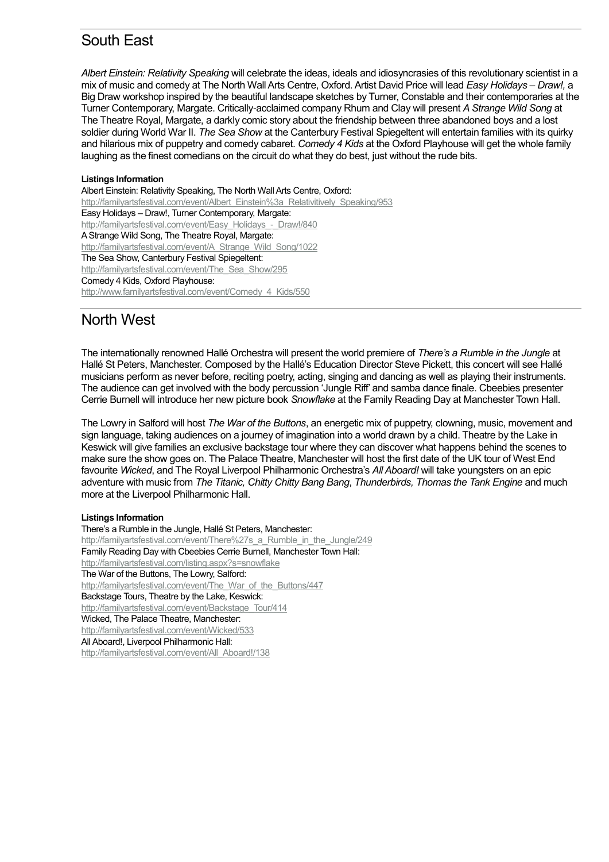### South East

*Albert Einstein: Relativity Speaking* will celebrate the ideas, ideals and idiosyncrasies of this revolutionary scientist in a mix of music and comedy at The North Wall Arts Centre, Oxford. Artist David Price will lead *Easy Holidays – Draw!,* a Big Draw workshop inspired by the beautiful landscape sketches by Turner, Constable and their contemporaries at the Turner Contemporary, Margate. Critically-acclaimed company Rhum and Clay will present *A Strange Wild Song* at The Theatre Royal, Margate, a darkly comic story about the friendship between three abandoned boys and a lost soldier during World War II. *The Sea Show* at the Canterbury Festival Spiegeltent will entertain families with its quirky and hilarious mix of puppetry and comedy cabaret. *Comedy 4 Kids* at the Oxford Playhouse will get the whole family laughing as the finest comedians on the circuit do what they do best, just without the rude bits.

#### **Listings Information**

Albert Einstein: Relativity Speaking, The North Wall Arts Centre, Oxford: [http://familyartsfestival.com/event/Albert\\_Einstein%3a\\_Relativitively\\_Speaking/953](http://familyartsfestival.com/event/Albert_Einstein%3a_Relativitively_Speaking/953) Easy Holidays – Draw!, Turner Contemporary, Margate: http://familyartsfestival.com/event/Easy\_Holidays - Draw!/840 A Strange Wild Song, The Theatre Royal, Margate: [http://familyartsfestival.com/event/A\\_Strange\\_Wild\\_Song/1022](http://familyartsfestival.com/event/A_Strange_Wild_Song/1022) The Sea Show, Canterbury Festival Spiegeltent: http://familyartsfestival.com/event/The Sea Show/295 Comedy 4 Kids, Oxford Playhouse: [http://www.familyartsfestival.com/event/Comedy\\_4\\_Kids/550](http://www.familyartsfestival.com/event/Comedy_4_Kids/550)

#### North West

The internationally renowned Hallé Orchestra will present the world premiere of *There's a Rumble in the Jungle* at Hallé St Peters, Manchester. Composed by the Hallé's Education Director Steve Pickett, this concert will see Hallé musicians perform as never before, reciting poetry, acting, singing and dancing as well as playing their instruments. The audience can get involved with the body percussion 'Jungle Riff' and samba dance finale. Cbeebies presenter Cerrie Burnell will introduce her new picture book *Snowflake* at the Family Reading Day at Manchester Town Hall.

The Lowry in Salford will host *The War of the Buttons*, an energetic mix of puppetry, clowning, music, movement and sign language, taking audiences on a journey of imagination into a world drawn by a child. Theatre by the Lake in Keswick will give families an exclusive backstage tour where they can discover what happens behind the scenes to make sure the show goes on. The Palace Theatre, Manchester will host the first date of the UK tour of West End favourite *Wicked*, and The Royal Liverpool Philharmonic Orchestra's *All Aboard!* will take youngsters on an epic adventure with music from *The Titanic, Chitty Chitty Bang Bang*, *Thunderbirds, Thomas the Tank Engine* and much more at the Liverpool Philharmonic Hall.

#### **Listings Information**

There's a Rumble in the Jungle, Hallé St Peters, Manchester: http://familyartsfestival.com/event/There%27s a Rumble in the Jungle/249 Family Reading Day with Cbeebies Cerrie Burnell, Manchester Town Hall: <http://familyartsfestival.com/listing.aspx?s=snowflake> The War of the Buttons, The Lowry, Salford: [http://familyartsfestival.com/event/The\\_War\\_of\\_the\\_Buttons/447](http://familyartsfestival.com/event/The_War_of_the_Buttons/447) Backstage Tours, Theatre by the Lake, Keswick: [http://familyartsfestival.com/event/Backstage\\_Tour/414](http://familyartsfestival.com/event/Backstage_Tour/414) Wicked, The Palace Theatre, Manchester: <http://familyartsfestival.com/event/Wicked/533> All Aboard!, Liverpool Philharmonic Hall: [http://familyartsfestival.com/event/All\\_Aboard!/138](http://familyartsfestival.com/event/All_Aboard!/138)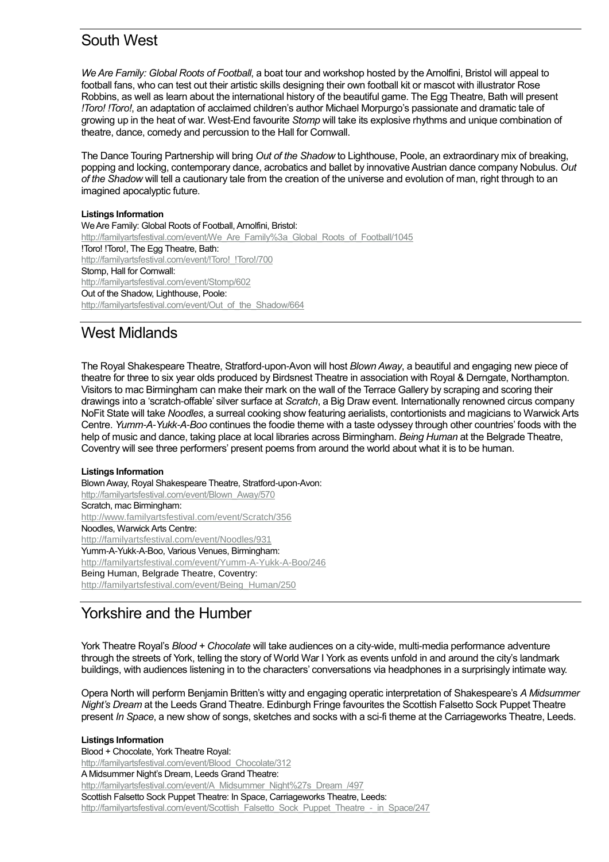### South West

*We Are Family: Global Roots of Football*, a boat tour and workshop hosted by the Arnolfini, Bristol will appeal to football fans, who can test out their artistic skills designing their own football kit or mascot with illustrator Rose Robbins, as well as learn about the international history of the beautiful game. The Egg Theatre, Bath will present *!Toro! !Toro!*, an adaptation of acclaimed children's author Michael Morpurgo's passionate and dramatic tale of growing up in the heat of war. West-End favourite *Stomp* will take its explosive rhythms and unique combination of theatre, dance, comedy and percussion to the Hall for Cornwall.

The Dance Touring Partnership will bring *Out of the Shadow* to Lighthouse, Poole, an extraordinary mix of breaking, popping and locking, contemporary dance, acrobatics and ballet by innovative Austrian dance company Nobulus. *Out of the Shadow* will tell a cautionary tale from the creation of the universe and evolution of man, right through to an imagined apocalyptic future.

#### **Listings Information**

We Are Family: Global Roots of Football, Arnolfini, Bristol: http://familyartsfestival.com/event/We Are Family%3a Global Roots of Football/1045 !Toro! !Toro!, The Egg Theatre, Bath: http://familyartsfestival.com/event/!Toro! !Toro!/700 Stomp, Hall for Cornwall: <http://familyartsfestival.com/event/Stomp/602> Out of the Shadow, Lighthouse, Poole: [http://familyartsfestival.com/event/Out\\_of\\_the\\_Shadow/664](http://familyartsfestival.com/event/Out_of_the_Shadow/664)

### West Midlands

The Royal Shakespeare Theatre, Stratford-upon-Avon will host *Blown Away*, a beautiful and engaging new piece of theatre for three to six year olds produced by Birdsnest Theatre in association with Royal & Derngate, Northampton. Visitors to mac Birmingham can make their mark on the wall of the Terrace Gallery by scraping and scoring their drawings into a 'scratch-offable' silver surface at *Scratch*, a Big Draw event. Internationally renowned circus company NoFit State will take *Noodles*, a surreal cooking show featuring aerialists, contortionists and magicians to Warwick Arts Centre. *Yumm-A-Yukk-A-Boo* continues the foodie theme with a taste odyssey through other countries' foods with the help of music and dance, taking place at local libraries across Birmingham. *Being Human* at the Belgrade Theatre, Coventry will see three performers' present poems from around the world about what it is to be human.

#### **Listings Information**

Blown Away, Royal Shakespeare Theatre, Stratford-upon-Avon: [http://familyartsfestival.com/event/Blown\\_Away/570](http://familyartsfestival.com/event/Blown_Away/570) Scratch, mac Birmingham: <http://www.familyartsfestival.com/event/Scratch/356> Noodles, Warwick Arts Centre: <http://familyartsfestival.com/event/Noodles/931> Yumm-A-Yukk-A-Boo, Various Venues, Birmingham: <http://familyartsfestival.com/event/Yumm-A-Yukk-A-Boo/246> Being Human, Belgrade Theatre, Coventry: [http://familyartsfestival.com/event/Being\\_Human/250](http://familyartsfestival.com/event/Being_Human/250)

### Yorkshire and the Humber

York Theatre Royal's *Blood + Chocolate* will take audiences on a city-wide, multi-media performance adventure through the streets of York, telling the story of World War I York as events unfold in and around the city's landmark buildings, with audiences listening in to the characters' conversations via headphones in a surprisingly intimate way.

Opera North will perform Benjamin Britten's witty and engaging operatic interpretation of Shakespeare's *A Midsummer Night's Dream* at the Leeds Grand Theatre. Edinburgh Fringe favourites the Scottish Falsetto Sock Puppet Theatre present *In Space*, a new show of songs, sketches and socks with a sci-fi theme at the Carriageworks Theatre, Leeds.

**Listings Information** Blood + Chocolate, York Theatre Royal: [http://familyartsfestival.com/event/Blood\\_Chocolate/312](http://familyartsfestival.com/event/Blood_Chocolate/312) A Midsummer Night's Dream, Leeds Grand Theatre: [http://familyartsfestival.com/event/A\\_Midsummer\\_Night%27s\\_Dream\\_/497](http://familyartsfestival.com/event/A_Midsummer_Night%27s_Dream_/497) Scottish Falsetto Sock Puppet Theatre: In Space, Carriageworks Theatre, Leeds: [http://familyartsfestival.com/event/Scottish\\_Falsetto\\_Sock\\_Puppet\\_Theatre\\_-\\_in\\_Space/247](http://familyartsfestival.com/event/Scottish_Falsetto_Sock_Puppet_Theatre_-_in_Space/247)